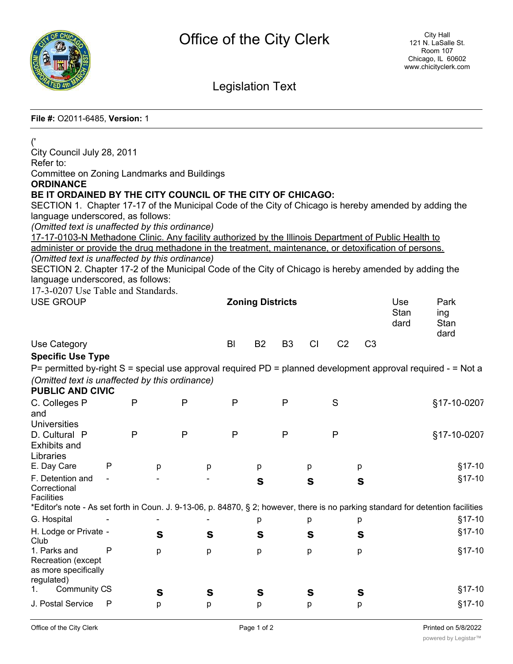

## Legislation Text

## **File #:** O2011-6485, **Version:** 1

| ('<br>City Council July 28, 2011                                                                                                                      |   |              |              |                         |              |              |                |              |                |                |      |             |
|-------------------------------------------------------------------------------------------------------------------------------------------------------|---|--------------|--------------|-------------------------|--------------|--------------|----------------|--------------|----------------|----------------|------|-------------|
| Refer to:                                                                                                                                             |   |              |              |                         |              |              |                |              |                |                |      |             |
| <b>Committee on Zoning Landmarks and Buildings</b>                                                                                                    |   |              |              |                         |              |              |                |              |                |                |      |             |
| <b>ORDINANCE</b>                                                                                                                                      |   |              |              |                         |              |              |                |              |                |                |      |             |
| BE IT ORDAINED BY THE CITY COUNCIL OF THE CITY OF CHICAGO:                                                                                            |   |              |              |                         |              |              |                |              |                |                |      |             |
| SECTION 1. Chapter 17-17 of the Municipal Code of the City of Chicago is hereby amended by adding the<br>language underscored, as follows:            |   |              |              |                         |              |              |                |              |                |                |      |             |
| (Omitted text is unaffected by this ordinance)                                                                                                        |   |              |              |                         |              |              |                |              |                |                |      |             |
| 17-17-0103-N Methadone Clinic. Any facility authorized by the Illinois Department of Public Health to                                                 |   |              |              |                         |              |              |                |              |                |                |      |             |
| administer or provide the drug methadone in the treatment, maintenance, or detoxification of persons.                                                 |   |              |              |                         |              |              |                |              |                |                |      |             |
| (Omitted text is unaffected by this ordinance)                                                                                                        |   |              |              |                         |              |              |                |              |                |                |      |             |
| SECTION 2. Chapter 17-2 of the Municipal Code of the City of Chicago is hereby amended by adding the<br>language underscored, as follows:             |   |              |              |                         |              |              |                |              |                |                |      |             |
| 17-3-0207 Use Table and Standards.                                                                                                                    |   |              |              |                         |              |              |                |              |                |                |      |             |
| <b>USE GROUP</b>                                                                                                                                      |   |              |              | <b>Zoning Districts</b> |              |              |                |              | Use            | Park           |      |             |
|                                                                                                                                                       |   |              |              |                         |              |              |                |              |                |                | Stan | ing         |
|                                                                                                                                                       |   |              |              |                         |              |              |                |              |                |                | dard | Stan        |
| Use Category                                                                                                                                          |   |              |              |                         | BI           | <b>B2</b>    | B <sub>3</sub> | CI           | C <sub>2</sub> | C <sub>3</sub> |      | dard        |
| <b>Specific Use Type</b>                                                                                                                              |   |              |              |                         |              |              |                |              |                |                |      |             |
| P= permitted by-right S = special use approval required PD = planned development approval required - = Not a                                          |   |              |              |                         |              |              |                |              |                |                |      |             |
| (Omitted text is unaffected by this ordinance)                                                                                                        |   |              |              |                         |              |              |                |              |                |                |      |             |
| <b>PUBLIC AND CIVIC</b>                                                                                                                               |   |              |              |                         |              |              |                |              |                |                |      |             |
| C. Colleges P                                                                                                                                         |   | P            | P            |                         | P            |              | $\mathsf{P}$   |              | S              |                |      | §17-10-0207 |
| and                                                                                                                                                   |   |              |              |                         |              |              |                |              |                |                |      |             |
| <b>Universities</b>                                                                                                                                   |   |              |              |                         |              |              |                |              |                |                |      |             |
| D. Cultural P<br><b>Exhibits and</b>                                                                                                                  |   | $\mathsf{P}$ | $\mathsf{P}$ |                         | $\mathsf{P}$ |              | P              |              | $\mathsf{P}$   |                |      | §17-10-0207 |
| Libraries                                                                                                                                             |   |              |              |                         |              |              |                |              |                |                |      |             |
| E. Day Care                                                                                                                                           | P | р            |              | р                       |              | р            |                | p            |                | p              |      | $§17-10$    |
| F. Detention and                                                                                                                                      |   |              |              |                         |              | $\mathbf{s}$ |                | $\mathbf{s}$ |                | $\mathbf{s}$   |      | $§17-10$    |
| Correctional                                                                                                                                          |   |              |              |                         |              |              |                |              |                |                |      |             |
| <b>Facilities</b><br>*Editor's note - As set forth in Coun. J. 9-13-06, p. 84870, § 2; however, there is no parking standard for detention facilities |   |              |              |                         |              |              |                |              |                |                |      |             |
| G. Hospital                                                                                                                                           |   |              |              |                         |              | р            |                | р            |                | р              |      | §17-10      |
| H. Lodge or Private -                                                                                                                                 |   | S            |              | $\mathbf{s}$            |              | S            |                | S            |                | $\mathbf{s}$   |      | §17-10      |
| Club                                                                                                                                                  |   |              |              |                         |              |              |                |              |                |                |      |             |
| 1. Parks and<br>Recreation (except                                                                                                                    | P | р            |              | p                       |              | р            |                | p            |                | р              |      | §17-10      |
| as more specifically                                                                                                                                  |   |              |              |                         |              |              |                |              |                |                |      |             |
| regulated)                                                                                                                                            |   |              |              |                         |              |              |                |              |                |                |      |             |
| <b>Community CS</b><br>1.                                                                                                                             |   | S            |              | S                       |              | S            |                | S            |                | S              |      | §17-10      |
| J. Postal Service                                                                                                                                     | P | р            |              | р                       |              | р            |                | р            |                | р              |      | §17-10      |
|                                                                                                                                                       |   |              |              |                         |              |              |                |              |                |                |      |             |